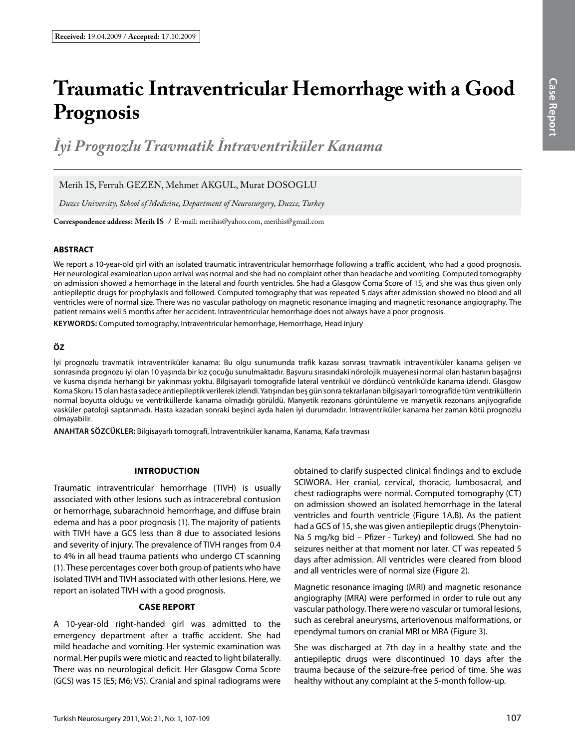# **Traumatic Intraventricular Hemorrhage with a Good Prognosis**

*İyi Prognozlu Travmatik İntraventriküler Kanama*

Merih IS, Ferruh GEZEN, Mehmet AKGUL, Murat DOSOGLU

*Duzce University, School of Medicine, Department of Neurosurgery, Duzce, Turkey*

**Correspondence address: Merih IS /** E-mail: merihis@yahoo.com, merihis@gmail.com

# **ABSTRACT**

We report a 10-year-old girl with an isolated traumatic intraventricular hemorrhage following a traffic accident, who had a good prognosis. Her neurological examination upon arrival was normal and she had no complaint other than headache and vomiting. Computed tomography on admission showed a hemorrhage in the lateral and fourth ventricles. She had a Glasgow Coma Score of 15, and she was thus given only antiepileptic drugs for prophylaxis and followed. Computed tomography that was repeated 5 days after admission showed no blood and all ventricles were of normal size. There was no vascular pathology on magnetic resonance imaging and magnetic resonance angiography. The patient remains well 5 months after her accident. Intraventricular hemorrhage does not always have a poor prognosis.

**Keywords:** Computed tomography, Intraventricular hemorrhage, Hemorrhage, Head injury

# **ÖZ**

İyi prognozlu travmatik intraventriküler kanama: Bu olgu sunumunda trafik kazası sonrası travmatik intraventiküler kanama gelişen ve sonrasında prognozu iyi olan 10 yaşında bir kız çocuğu sunulmaktadır. Başvuru sırasındaki nörolojik muayenesi normal olan hastanın başağrısı ve kusma dışında herhangi bir yakınması yoktu. Bilgisayarlı tomografide lateral ventrikül ve dördüncü ventrikülde kanama izlendi. Glasgow Koma Skoru 15 olan hasta sadece antiepileptik verilerek izlendi. Yatışından beş gün sonra tekrarlanan bilgisayarlı tomografide tüm ventriküllerin normal boyutta olduğu ve ventriküllerde kanama olmadığı görüldü. Manyetik rezonans görüntüleme ve manyetik rezonans anjiyografide vasküler patoloji saptanmadı. Hasta kazadan sonraki beşinci ayda halen iyi durumdadır. İntraventriküler kanama her zaman kötü prognozlu olmayabilir.

**ANAHTAR SÖZCÜKLER:** Bilgisayarlı tomografi, İntraventriküler kanama, Kanama, Kafa travması

# **Introduction**

Traumatic intraventricular hemorrhage (TIVH) is usually associated with other lesions such as intracerebral contusion or hemorrhage, subarachnoid hemorrhage, and diffuse brain edema and has a poor prognosis (1). The majority of patients with TIVH have a GCS less than 8 due to associated lesions and severity of injury. The prevalence of TIVH ranges from 0.4 to 4% in all head trauma patients who undergo CT scanning (1). These percentages cover both group of patients who have isolated TIVH and TIVH associated with other lesions. Here, we report an isolated TIVH with a good prognosis.

# **Case Report**

A 10-year-old right-handed girl was admitted to the emergency department after a traffic accident. She had mild headache and vomiting. Her systemic examination was normal. Her pupils were miotic and reacted to light bilaterally. There was no neurological deficit. Her Glasgow Coma Score (GCS) was 15 (E5; M6; V5). Cranial and spinal radiograms were

obtained to clarify suspected clinical findings and to exclude SCIWORA. Her cranial, cervical, thoracic, lumbosacral, and chest radiographs were normal. Computed tomography (CT) on admission showed an isolated hemorrhage in the lateral ventricles and fourth ventricle (Figure 1A,B). As the patient had a GCS of 15, she was given antiepileptic drugs (Phenytoin-Na 5 mg/kg bid – Pfizer - Turkey) and followed. She had no seizures neither at that moment nor later. CT was repeated 5 days after admission. All ventricles were cleared from blood and all ventricles were of normal size (Figure 2).

Magnetic resonance imaging (MRI) and magnetic resonance angiography (MRA) were performed in order to rule out any vascular pathology. There were no vascular or tumoral lesions, such as cerebral aneurysms, arteriovenous malformations, or ependymal tumors on cranial MRI or MRA (Figure 3).

She was discharged at 7th day in a healthy state and the antiepileptic drugs were discontinued 10 days after the trauma because of the seizure-free period of time. She was healthy without any complaint at the 5-month follow-up.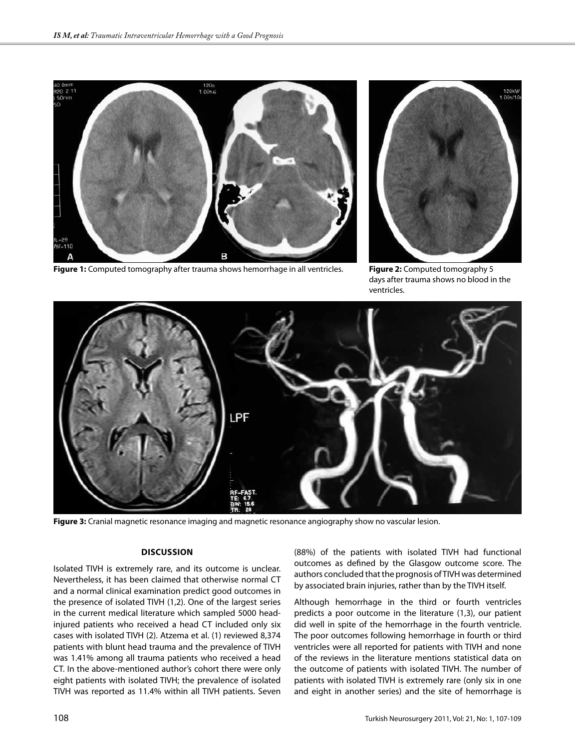

**Figure 1:** Computed tomography after trauma shows hemorrhage in all ventricles.



**Figure 2:** Computed tomography 5 days after trauma shows no blood in the ventricles.



**Figure 3:** Cranial magnetic resonance imaging and magnetic resonance angiography show no vascular lesion.

# **Discussion**

Isolated TIVH is extremely rare, and its outcome is unclear. Nevertheless, it has been claimed that otherwise normal CT and a normal clinical examination predict good outcomes in the presence of isolated TIVH (1,2). One of the largest series in the current medical literature which sampled 5000 headinjured patients who received a head CT included only six cases with isolated TIVH (2). Atzema et al. (1) reviewed 8,374 patients with blunt head trauma and the prevalence of TIVH was 1.41% among all trauma patients who received a head CT. In the above-mentioned author's cohort there were only eight patients with isolated TIVH; the prevalence of isolated TIVH was reported as 11.4% within all TIVH patients. Seven

(88%) of the patients with isolated TIVH had functional outcomes as defined by the Glasgow outcome score. The authors concluded that the prognosis of TIVH was determined by associated brain injuries, rather than by the TIVH itself.

Although hemorrhage in the third or fourth ventricles predicts a poor outcome in the literature (1,3), our patient did well in spite of the hemorrhage in the fourth ventricle. The poor outcomes following hemorrhage in fourth or third ventricles were all reported for patients with TIVH and none of the reviews in the literature mentions statistical data on the outcome of patients with isolated TIVH. The number of patients with isolated TIVH is extremely rare (only six in one and eight in another series) and the site of hemorrhage is